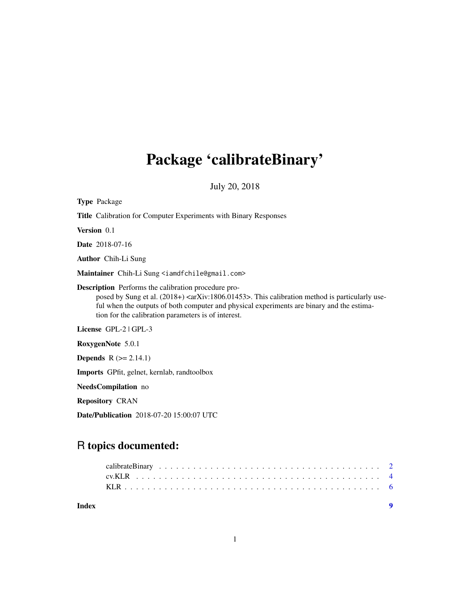# Package 'calibrateBinary'

July 20, 2018

| <b>Type Package</b>                                                                                                                                                                                                                                                                                                                  |
|--------------------------------------------------------------------------------------------------------------------------------------------------------------------------------------------------------------------------------------------------------------------------------------------------------------------------------------|
| <b>Title</b> Calibration for Computer Experiments with Binary Responses                                                                                                                                                                                                                                                              |
| Version 0.1                                                                                                                                                                                                                                                                                                                          |
| <b>Date</b> 2018-07-16                                                                                                                                                                                                                                                                                                               |
| <b>Author</b> Chih-Li Sung                                                                                                                                                                                                                                                                                                           |
| Maintainer Chih-Li Sung <iamdfchile@gmail.com></iamdfchile@gmail.com>                                                                                                                                                                                                                                                                |
| <b>Description</b> Performs the calibration procedure pro-<br>posed by Sung et al. (2018+) <arxiv:1806.01453>. This calibration method is particularly use-<br/>ful when the outputs of both computer and physical experiments are binary and the estima-<br/>tion for the calibration parameters is of interest.</arxiv:1806.01453> |
| License GPL-2   GPL-3                                                                                                                                                                                                                                                                                                                |
| RoxygenNote 5.0.1                                                                                                                                                                                                                                                                                                                    |
| <b>Depends</b> $R (= 2.14.1)$                                                                                                                                                                                                                                                                                                        |
| <b>Imports</b> GPfit, gelnet, kernlab, randtoolbox                                                                                                                                                                                                                                                                                   |
| NeedsCompilation no                                                                                                                                                                                                                                                                                                                  |
| <b>Repository CRAN</b>                                                                                                                                                                                                                                                                                                               |
| <b>Date/Publication</b> 2018-07-20 15:00:07 UTC                                                                                                                                                                                                                                                                                      |

# R topics documented:

| Index |  |  |  |  |  |  |  |  |  |  |  |  |  |  |  |  |  |
|-------|--|--|--|--|--|--|--|--|--|--|--|--|--|--|--|--|--|
|       |  |  |  |  |  |  |  |  |  |  |  |  |  |  |  |  |  |
|       |  |  |  |  |  |  |  |  |  |  |  |  |  |  |  |  |  |
|       |  |  |  |  |  |  |  |  |  |  |  |  |  |  |  |  |  |
|       |  |  |  |  |  |  |  |  |  |  |  |  |  |  |  |  |  |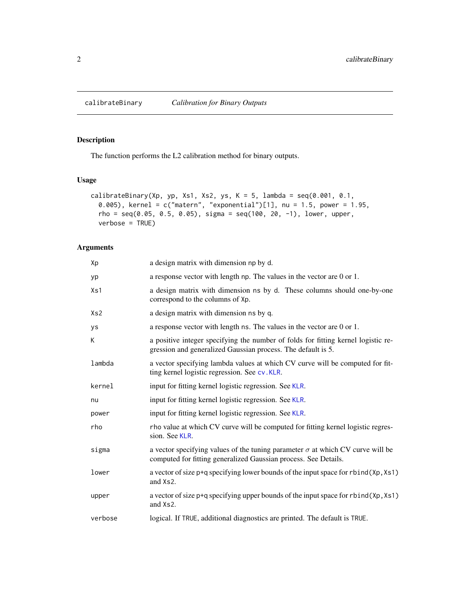<span id="page-1-0"></span>

# Description

The function performs the L2 calibration method for binary outputs.

# Usage

```
calibrateBinary(Xp, yp, Xs1, Xs2, ys, K = 5, lambda = seq(0.001, 0.1,0.005), kernel = c("matern", "exponential")[1], nu = 1.5, power = 1.95,rho = seq(0.05, 0.5, 0.05), sigma = seq(100, 20, -1), lower, upper,
  verbose = TRUE)
```
## Arguments

| Xp               | a design matrix with dimension np by d.                                                                                                                  |
|------------------|----------------------------------------------------------------------------------------------------------------------------------------------------------|
| yp               | a response vector with length $np$ . The values in the vector are $0$ or $1$ .                                                                           |
| X <sub>S</sub> 1 | a design matrix with dimension ns by d. These columns should one-by-one<br>correspond to the columns of Xp.                                              |
| Xs2              | a design matrix with dimension ns by q.                                                                                                                  |
| ys               | a response vector with length ns. The values in the vector are 0 or 1.                                                                                   |
| K                | a positive integer specifying the number of folds for fitting kernel logistic re-<br>gression and generalized Gaussian process. The default is 5.        |
| lambda           | a vector specifying lambda values at which CV curve will be computed for fit-<br>ting kernel logistic regression. See cv.KLR.                            |
| kernel           | input for fitting kernel logistic regression. See KLR.                                                                                                   |
| nu               | input for fitting kernel logistic regression. See KLR.                                                                                                   |
| power            | input for fitting kernel logistic regression. See KLR.                                                                                                   |
| rho              | rho value at which CV curve will be computed for fitting kernel logistic regres-<br>sion. See KLR.                                                       |
| sigma            | a vector specifying values of the tuning parameter $\sigma$ at which CV curve will be<br>computed for fitting generalized Gaussian process. See Details. |
| lower            | a vector of size p+q specifying lower bounds of the input space for rbind(Xp, Xs1)<br>and Xs2.                                                           |
| upper            | a vector of size p+q specifying upper bounds of the input space for rbind(Xp, Xs1)<br>and Xs2.                                                           |
| verbose          | logical. If TRUE, additional diagnostics are printed. The default is TRUE.                                                                               |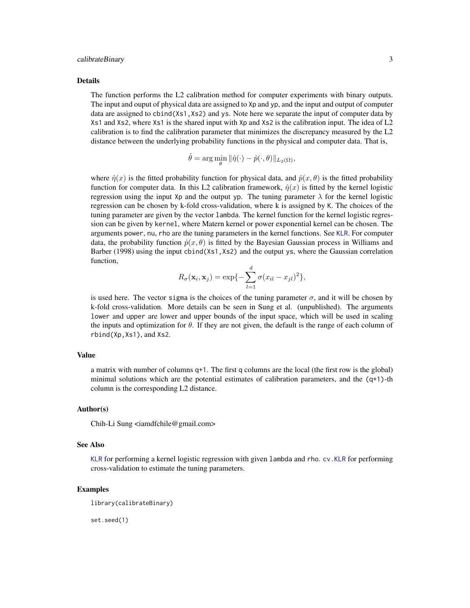#### <span id="page-2-0"></span>calibrateBinary 3

#### Details

The function performs the L2 calibration method for computer experiments with binary outputs. The input and ouput of physical data are assigned to Xp and yp, and the input and output of computer data are assigned to cbind(Xs1,Xs2) and ys. Note here we separate the input of computer data by Xs1 and Xs2, where Xs1 is the shared input with Xp and Xs2 is the calibration input. The idea of L2 calibration is to find the calibration parameter that minimizes the discrepancy measured by the L2 distance between the underlying probability functions in the physical and computer data. That is,

$$
\hat{\theta} = \arg\min_{\theta} \|\hat{\eta}(\cdot) - \hat{p}(\cdot, \theta)\|_{L_2(\Omega)},
$$

where  $\hat{\eta}(x)$  is the fitted probability function for physical data, and  $\hat{p}(x, \theta)$  is the fitted probability function for computer data. In this L2 calibration framework,  $\hat{\eta}(x)$  is fitted by the kernel logistic regression using the input Xp and the output yp. The tuning parameter  $\lambda$  for the kernel logistic regression can be chosen by k-fold cross-validation, where k is assigned by K. The choices of the tuning parameter are given by the vector lambda. The kernel function for the kernel logistic regression can be given by kernel, where Matern kernel or power exponential kernel can be chosen. The arguments power, nu, rho are the tuning parameters in the kernel functions. See [KLR](#page-5-1). For computer data, the probability function  $\hat{p}(x, \theta)$  is fitted by the Bayesian Gaussian process in Williams and Barber (1998) using the input cbind(Xs1,Xs2) and the output ys, where the Gaussian correlation function,

$$
R_{\sigma}(\mathbf{x}_i, \mathbf{x}_j) = \exp\{-\sum_{l=1}^d \sigma(x_{il} - x_{jl})^2\},\
$$

is used here. The vector sigma is the choices of the tuning parameter  $\sigma$ , and it will be chosen by k-fold cross-validation. More details can be seen in Sung et al. (unpublished). The arguments lower and upper are lower and upper bounds of the input space, which will be used in scaling the inputs and optimization for  $\theta$ . If they are not given, the default is the range of each column of rbind(Xp,Xs1), and Xs2.

#### Value

a matrix with number of columns q+1. The first q columns are the local (the first row is the global) minimal solutions which are the potential estimates of calibration parameters, and the (q+1)-th column is the corresponding L2 distance.

#### Author(s)

Chih-Li Sung <iamdfchile@gmail.com>

#### See Also

[KLR](#page-5-1) for performing a kernel logistic regression with given lambda and rho. [cv.KLR](#page-3-1) for performing cross-validation to estimate the tuning parameters.

#### Examples

library(calibrateBinary)

set.seed(1)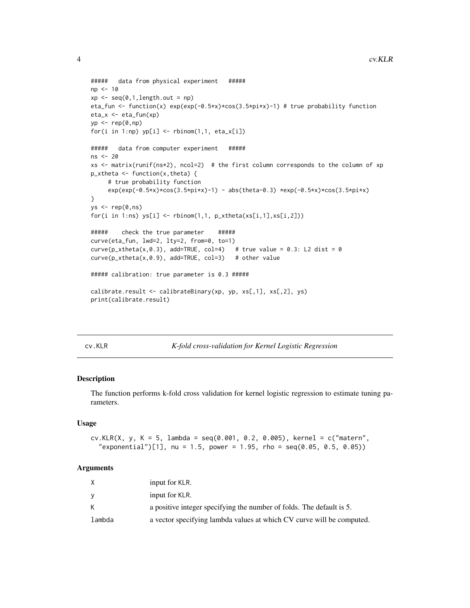```
##### data from physical experiment #####
np <- 10
xp \leftarrow seq(0, 1, length.out = np)eta_fun <- function(x) exp(exp(-0.5*x)*cos(3.5*pi*x)-1) # true probability function
eta_x <- eta_fun(xp)
yp \leftarrow rep(0, np)for(i in 1:np) yp[i] < - rbinom(1,1, eta_x[i])
##### data from computer experiment #####
ns <- 20
xs <- matrix(runif(ns*2), ncol=2) # the first column corresponds to the column of xp
p_xtheta <- function(x, theta) {
     # true probability function
     exp(exp(-0.5*x)*cos(3.5*pi*x)-1) - abs(theta-0.3) *exp(-0.5*x)*cos(3.5*pi*x)
}
ys < - rep(0,ns)for(i in 1:ns) ys[i] \leftarrow \text{rbinom}(1,1, p_xtheta(xs[i,1],xs[i,2]))##### check the true parameter #####
curve(eta_fun, lwd=2, lty=2, from=0, to=1)
curve(p_xtheta(x,0.3), add=TRUE, col=4) # true value = 0.3: L2 dist = 0
curve(p_x xtheta(x, \emptyset.9), add=True, col=3) # other value
##### calibration: true parameter is 0.3 #####
calibrate.result <- calibrateBinary(xp, yp, xs[,1], xs[,2], ys)
print(calibrate.result)
```
<span id="page-3-1"></span>cv.KLR *K-fold cross-validation for Kernel Logistic Regression*

#### Description

The function performs k-fold cross validation for kernel logistic regression to estimate tuning parameters.

#### Usage

```
cv.KLR(X, y, K = 5, lambda = seq(0.001, 0.2, 0.005), kernel = c("matern",
  "exponential")[1], nu = 1.5, power = 1.95, rho = seq(0.05, 0.5, 0.05))
```
#### Arguments

|        | input for KLR.                                                        |
|--------|-----------------------------------------------------------------------|
|        | input for KLR.                                                        |
| K.     | a positive integer specifying the number of folds. The default is 5.  |
| lambda | a vector specifying lambda values at which CV curve will be computed. |

<span id="page-3-0"></span>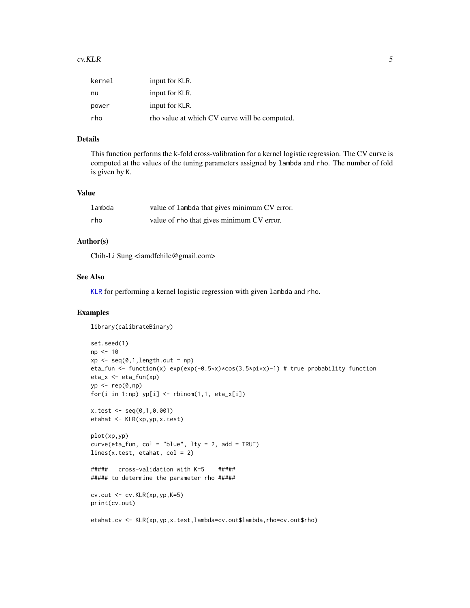#### <span id="page-4-0"></span> $cv.KLR$  5

| kernel | input for KLR.                                |
|--------|-----------------------------------------------|
| nu     | input for KLR.                                |
| power  | input for KLR.                                |
| rho    | tho value at which CV curve will be computed. |

# Details

This function performs the k-fold cross-valibration for a kernel logistic regression. The CV curve is computed at the values of the tuning parameters assigned by lambda and rho. The number of fold is given by K.

#### Value

| lambda | value of lambda that gives minimum CV error. |
|--------|----------------------------------------------|
| rho    | value of rho that gives minimum CV error.    |

#### Author(s)

Chih-Li Sung <iamdfchile@gmail.com>

#### See Also

[KLR](#page-5-1) for performing a kernel logistic regression with given lambda and rho.

#### Examples

```
library(calibrateBinary)
set.seed(1)
np <- 10
xp \leftarrow seq(0, 1, length.out = np)eta_fun <- function(x) exp(exp(-0.5*x)*cos(3.5*pi*x)-1) # true probability function
eta_x <- eta_fun(xp)
yp \leftarrow rep(0, np)for(i in 1:np) yp[i] <- rbinom(1,1, eta_x[i])
x.test <- seq(0,1,0.001)
etahat <- KLR(xp,yp,x.test)
plot(xp,yp)
curve(eta_f, col = "blue", lty = 2, add = TRUE)lines(x.test, etahat, col = 2)##### cross-validation with K=5 #####
##### to determine the parameter rho #####
cv.out \leq -cv.KLR(xp,yp,K=5)print(cv.out)
etahat.cv <- KLR(xp,yp,x.test,lambda=cv.out$lambda,rho=cv.out$rho)
```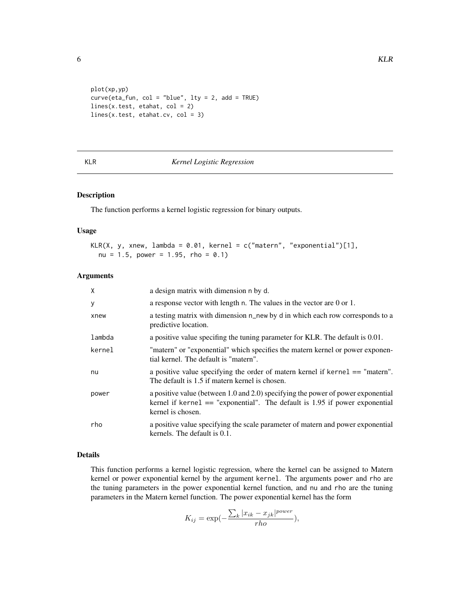```
plot(xp,yp)
curve(eta_fun, col = "blue", lty = 2, add = TRUE)
lines(x.test, etahat, col = 2)
lines(x.test, etahat.cv, col = 3)
```
#### <span id="page-5-1"></span>KLR *Kernel Logistic Regression*

### Description

The function performs a kernel logistic regression for binary outputs.

#### Usage

```
KLR(X, y, xnew, lambda = 0.01, kernel = c("matern", "exponential")[1],nu = 1.5, power = 1.95, rho = 0.1)
```
### Arguments

| $\mathsf{x}$ | a design matrix with dimension n by d.                                                                                                                                                 |
|--------------|----------------------------------------------------------------------------------------------------------------------------------------------------------------------------------------|
| y            | a response vector with length n. The values in the vector are 0 or 1.                                                                                                                  |
| xnew         | a testing matrix with dimension n_new by d in which each row corresponds to a<br>predictive location.                                                                                  |
| lambda       | a positive value specifing the tuning parameter for KLR. The default is 0.01.                                                                                                          |
| kernel       | "matern" or "exponential" which specifies the matern kernel or power exponen-<br>tial kernel. The default is "matern".                                                                 |
| nu           | a positive value specifying the order of matern kernel if kernel == "matern".<br>The default is 1.5 if matern kernel is chosen.                                                        |
| power        | a positive value (between 1.0 and 2.0) specifying the power of power exponential<br>kernel if kernel $==$ "exponential". The default is 1.95 if power exponential<br>kernel is chosen. |
| rho          | a positive value specifying the scale parameter of matern and power exponential<br>kernels. The default is 0.1.                                                                        |

#### Details

This function performs a kernel logistic regression, where the kernel can be assigned to Matern kernel or power exponential kernel by the argument kernel. The arguments power and rho are the tuning parameters in the power exponential kernel function, and nu and rho are the tuning parameters in the Matern kernel function. The power exponential kernel has the form

$$
K_{ij} = \exp\left(-\frac{\sum_{k} |x_{ik} - x_{jk}|^{power}}{rho}\right),\,
$$

<span id="page-5-0"></span>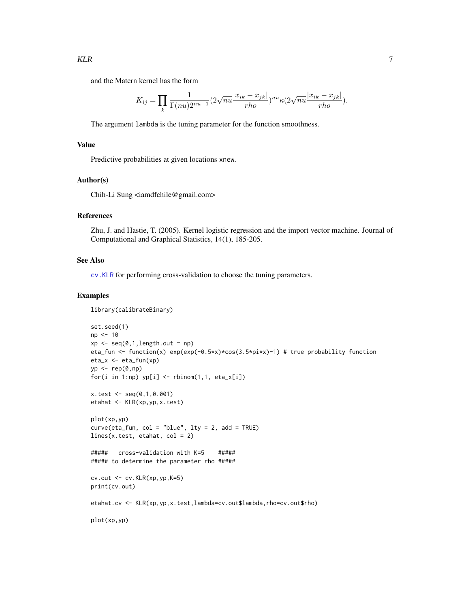<span id="page-6-0"></span>and the Matern kernel has the form

$$
K_{ij} = \prod_k \frac{1}{\Gamma(nu)2^{nu-1}} (2\sqrt{nu} \frac{|x_{ik} - x_{jk}|}{rho})^{nu} \kappa(2\sqrt{nu} \frac{|x_{ik} - x_{jk}|}{rho}).
$$

The argument lambda is the tuning parameter for the function smoothness.

#### Value

Predictive probabilities at given locations xnew.

#### Author(s)

Chih-Li Sung <iamdfchile@gmail.com>

#### References

Zhu, J. and Hastie, T. (2005). Kernel logistic regression and the import vector machine. Journal of Computational and Graphical Statistics, 14(1), 185-205.

#### See Also

[cv.KLR](#page-3-1) for performing cross-validation to choose the tuning parameters.

#### Examples

```
library(calibrateBinary)
set.seed(1)
np <- 10
xp \leftarrow seq(0, 1, length.out = np)eta_fun <- function(x) exp(exp(-0.5*x)*cos(3.5*pi*x)-1) # true probability function
eta_x <- eta_fun(xp)
yp \leftarrow rep(0, np)for(i in 1:np) yp[i] < - rbinom(1,1, eta_x[i])
x.test <- seq(0,1,0.001)
etahat <- KLR(xp,yp,x.test)
plot(xp,yp)
curve(eta_f, col = "blue", lty = 2, add = TRUE)lines(x.test, etahat, col = 2)
##### cross-validation with K=5 #####
##### to determine the parameter rho #####
cv.out <- cv.KLR(xp,yp,K=5)
print(cv.out)
etahat.cv <- KLR(xp,yp,x.test,lambda=cv.out$lambda,rho=cv.out$rho)
plot(xp,yp)
```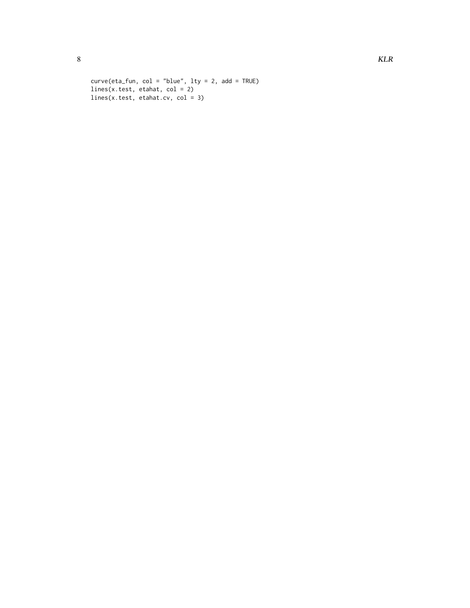```
curve(eta_fun, col = "blue", lty = 2, add = TRUE)lines(x.test, etahat, col = 2)
lines(x.test, etahat.cv, col = 3)
```